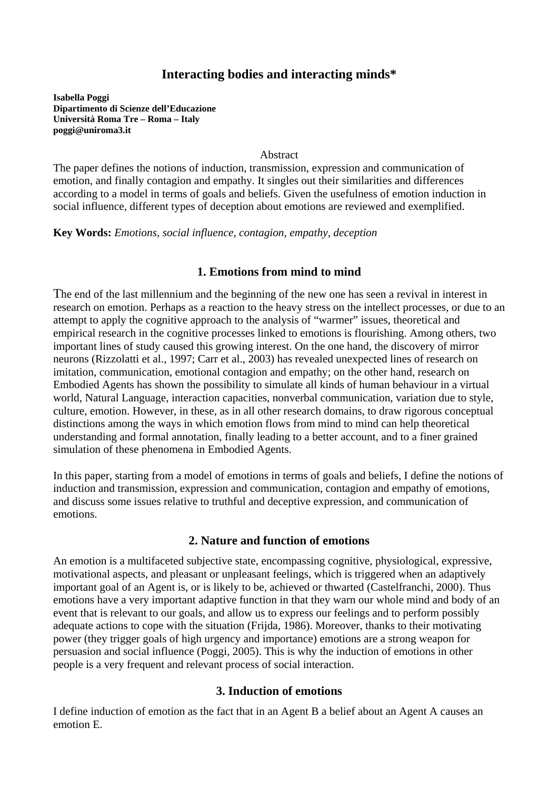# **Interacting bodies and interacting minds\***

**Isabella Poggi Dipartimento di Scienze dell'Educazione Università Roma Tre – Roma – Italy poggi@uniroma3.it** 

**Abstract** 

The paper defines the notions of induction, transmission, expression and communication of emotion, and finally contagion and empathy. It singles out their similarities and differences according to a model in terms of goals and beliefs. Given the usefulness of emotion induction in social influence, different types of deception about emotions are reviewed and exemplified.

**Key Words:** *Emotions, social influence, contagion, empathy, deception* 

## **1. Emotions from mind to mind**

The end of the last millennium and the beginning of the new one has seen a revival in interest in research on emotion. Perhaps as a reaction to the heavy stress on the intellect processes, or due to an attempt to apply the cognitive approach to the analysis of "warmer" issues, theoretical and empirical research in the cognitive processes linked to emotions is flourishing. Among others, two important lines of study caused this growing interest. On the one hand, the discovery of mirror neurons (Rizzolatti et al., 1997; Carr et al., 2003) has revealed unexpected lines of research on imitation, communication, emotional contagion and empathy; on the other hand, research on Embodied Agents has shown the possibility to simulate all kinds of human behaviour in a virtual world, Natural Language, interaction capacities, nonverbal communication, variation due to style, culture, emotion. However, in these, as in all other research domains, to draw rigorous conceptual distinctions among the ways in which emotion flows from mind to mind can help theoretical understanding and formal annotation, finally leading to a better account, and to a finer grained simulation of these phenomena in Embodied Agents.

In this paper, starting from a model of emotions in terms of goals and beliefs, I define the notions of induction and transmission, expression and communication, contagion and empathy of emotions, and discuss some issues relative to truthful and deceptive expression, and communication of emotions.

#### **2. Nature and function of emotions**

An emotion is a multifaceted subjective state, encompassing cognitive, physiological, expressive, motivational aspects, and pleasant or unpleasant feelings, which is triggered when an adaptively important goal of an Agent is, or is likely to be, achieved or thwarted (Castelfranchi, 2000). Thus emotions have a very important adaptive function in that they warn our whole mind and body of an event that is relevant to our goals, and allow us to express our feelings and to perform possibly adequate actions to cope with the situation (Frijda, 1986). Moreover, thanks to their motivating power (they trigger goals of high urgency and importance) emotions are a strong weapon for persuasion and social influence (Poggi, 2005). This is why the induction of emotions in other people is a very frequent and relevant process of social interaction.

### **3. Induction of emotions**

I define induction of emotion as the fact that in an Agent B a belief about an Agent A causes an emotion E.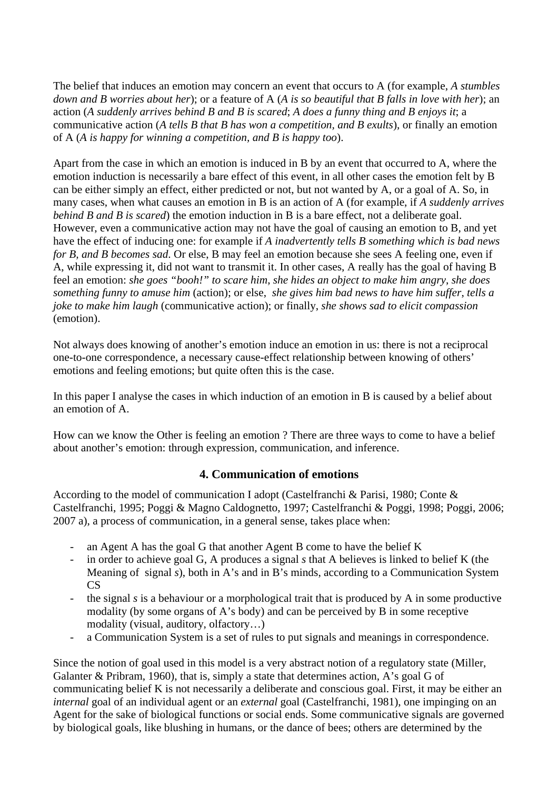The belief that induces an emotion may concern an event that occurs to A (for example, *A stumbles down and B worries about her*); or a feature of A (*A is so beautiful that B falls in love with her*); an action (*A suddenly arrives behind B and B is scared*; *A does a funny thing and B enjoys it*; a communicative action (*A tells B that B has won a competition, and B exults*), or finally an emotion of A (*A is happy for winning a competition, and B is happy too*).

Apart from the case in which an emotion is induced in B by an event that occurred to A, where the emotion induction is necessarily a bare effect of this event, in all other cases the emotion felt by B can be either simply an effect, either predicted or not, but not wanted by A, or a goal of A. So, in many cases, when what causes an emotion in B is an action of A (for example, if *A suddenly arrives behind B and B is scared*) the emotion induction in B is a bare effect, not a deliberate goal. However, even a communicative action may not have the goal of causing an emotion to B, and yet have the effect of inducing one: for example if *A inadvertently tells B something which is bad news for B, and B becomes sad*. Or else, B may feel an emotion because she sees A feeling one, even if A, while expressing it, did not want to transmit it. In other cases, A really has the goal of having B feel an emotion: *she goes "booh!" to scare him*, *she hides an object to make him angry*, *she does something funny to amuse him* (action); or else, *she gives him bad news to have him suffer*, *tells a joke to make him laugh* (communicative action); or finally, *she shows sad to elicit compassion* (emotion).

Not always does knowing of another's emotion induce an emotion in us: there is not a reciprocal one-to-one correspondence, a necessary cause-effect relationship between knowing of others' emotions and feeling emotions; but quite often this is the case.

In this paper I analyse the cases in which induction of an emotion in B is caused by a belief about an emotion of A.

How can we know the Other is feeling an emotion ? There are three ways to come to have a belief about another's emotion: through expression, communication, and inference.

## **4. Communication of emotions**

According to the model of communication I adopt (Castelfranchi & Parisi, 1980; Conte & Castelfranchi, 1995; Poggi & Magno Caldognetto, 1997; Castelfranchi & Poggi, 1998; Poggi, 2006; 2007 a), a process of communication, in a general sense, takes place when:

- an Agent A has the goal G that another Agent B come to have the belief K
- in order to achieve goal G, A produces a signal *s* that A believes is linked to belief K (the Meaning of signal *s*), both in A's and in B's minds, according to a Communication System CS
- the signal *s* is a behaviour or a morphological trait that is produced by A in some productive modality (by some organs of A's body) and can be perceived by B in some receptive modality (visual, auditory, olfactory…)
- a Communication System is a set of rules to put signals and meanings in correspondence.

Since the notion of goal used in this model is a very abstract notion of a regulatory state (Miller, Galanter & Pribram, 1960), that is, simply a state that determines action, A's goal G of communicating belief K is not necessarily a deliberate and conscious goal. First, it may be either an *internal* goal of an individual agent or an *external* goal (Castelfranchi, 1981), one impinging on an Agent for the sake of biological functions or social ends. Some communicative signals are governed by biological goals, like blushing in humans, or the dance of bees; others are determined by the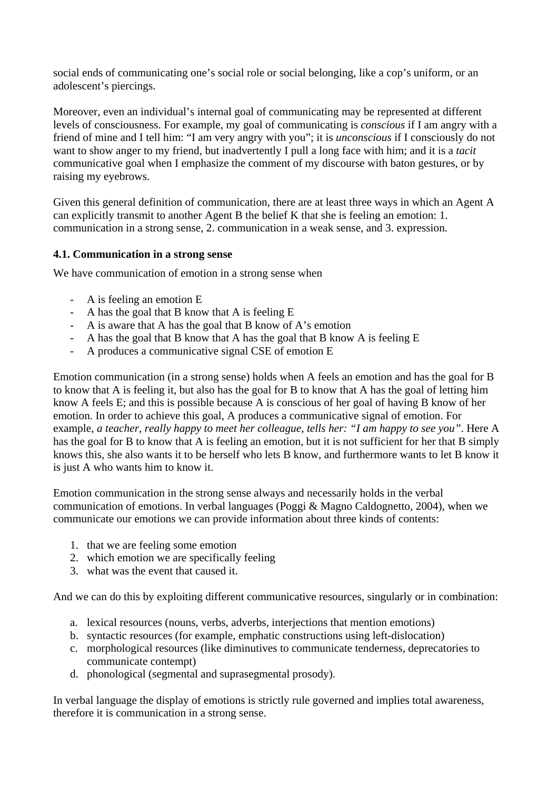social ends of communicating one's social role or social belonging, like a cop's uniform, or an adolescent's piercings.

Moreover, even an individual's internal goal of communicating may be represented at different levels of consciousness. For example, my goal of communicating is *conscious* if I am angry with a friend of mine and I tell him: "I am very angry with you"; it is *unconscious* if I consciously do not want to show anger to my friend, but inadvertently I pull a long face with him; and it is a *tacit* communicative goal when I emphasize the comment of my discourse with baton gestures, or by raising my eyebrows.

Given this general definition of communication, there are at least three ways in which an Agent A can explicitly transmit to another Agent B the belief K that she is feeling an emotion: 1. communication in a strong sense, 2. communication in a weak sense, and 3. expression.

### **4.1. Communication in a strong sense**

We have communication of emotion in a strong sense when

- A is feeling an emotion E
- A has the goal that B know that A is feeling E
- A is aware that A has the goal that B know of A's emotion
- A has the goal that B know that A has the goal that B know A is feeling E
- A produces a communicative signal CSE of emotion E

Emotion communication (in a strong sense) holds when A feels an emotion and has the goal for B to know that A is feeling it, but also has the goal for B to know that A has the goal of letting him know A feels E; and this is possible because A is conscious of her goal of having B know of her emotion. In order to achieve this goal, A produces a communicative signal of emotion. For example, *a teacher, really happy to meet her colleague, tells her: "I am happy to see you"*. Here A has the goal for B to know that A is feeling an emotion, but it is not sufficient for her that B simply knows this, she also wants it to be herself who lets B know, and furthermore wants to let B know it is just A who wants him to know it.

Emotion communication in the strong sense always and necessarily holds in the verbal communication of emotions. In verbal languages (Poggi & Magno Caldognetto, 2004), when we communicate our emotions we can provide information about three kinds of contents:

- 1. that we are feeling some emotion
- 2. which emotion we are specifically feeling
- 3. what was the event that caused it.

And we can do this by exploiting different communicative resources, singularly or in combination:

- a. lexical resources (nouns, verbs, adverbs, interjections that mention emotions)
- b. syntactic resources (for example, emphatic constructions using left-dislocation)
- c. morphological resources (like diminutives to communicate tenderness, deprecatories to communicate contempt)
- d. phonological (segmental and suprasegmental prosody).

In verbal language the display of emotions is strictly rule governed and implies total awareness, therefore it is communication in a strong sense.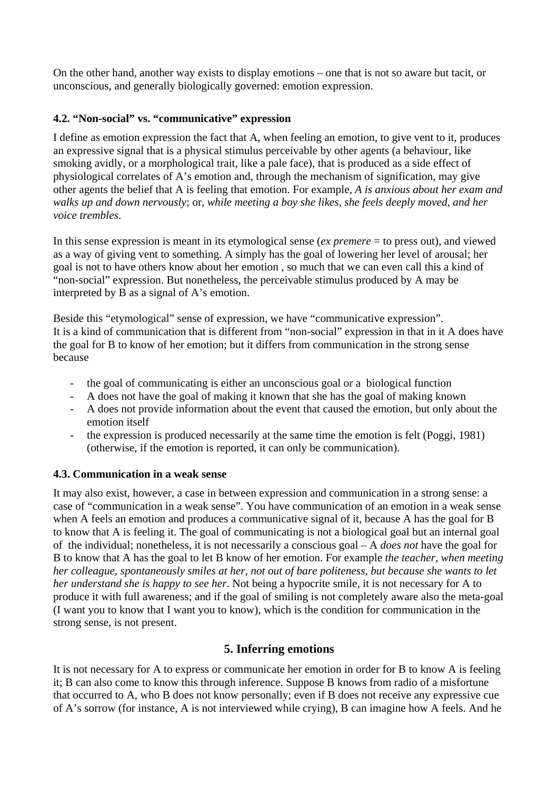On the other hand, another way exists to display emotions – one that is not so aware but tacit, or unconscious, and generally biologically governed: emotion expression.

## **4.2. "Non-social" vs. "communicative" expression**

I define as emotion expression the fact that A, when feeling an emotion, to give vent to it, produces an expressive signal that is a physical stimulus perceivable by other agents (a behaviour, like smoking avidly, or a morphological trait, like a pale face), that is produced as a side effect of physiological correlates of A's emotion and, through the mechanism of signification, may give other agents the belief that A is feeling that emotion. For example, *A is anxious about her exam and walks up and down nervously*; or, *while meeting a boy she likes, she feels deeply moved, and her voice trembles*.

In this sense expression is meant in its etymological sense (*ex premere* = to press out), and viewed as a way of giving vent to something. A simply has the goal of lowering her level of arousal; her goal is not to have others know about her emotion , so much that we can even call this a kind of "non-social" expression. But nonetheless, the perceivable stimulus produced by A may be interpreted by B as a signal of A's emotion.

Beside this "etymological" sense of expression, we have "communicative expression". It is a kind of communication that is different from "non-social" expression in that in it A does have the goal for B to know of her emotion; but it differs from communication in the strong sense because

- the goal of communicating is either an unconscious goal or a biological function
- A does not have the goal of making it known that she has the goal of making known
- A does not provide information about the event that caused the emotion, but only about the emotion itself
- the expression is produced necessarily at the same time the emotion is felt (Poggi, 1981) (otherwise, if the emotion is reported, it can only be communication).

### **4.3. Communication in a weak sense**

It may also exist, however, a case in between expression and communication in a strong sense: a case of "communication in a weak sense". You have communication of an emotion in a weak sense when A feels an emotion and produces a communicative signal of it, because A has the goal for B to know that A is feeling it. The goal of communicating is not a biological goal but an internal goal of the individual; nonetheless, it is not necessarily a conscious goal – A *does not* have the goal for B to know that A has the goal to let B know of her emotion. For example *the teacher, when meeting her colleague, spontaneously smiles at her, not out of bare politeness, but because she wants to let her understand she is happy to see her*. Not being a hypocrite smile, it is not necessary for A to produce it with full awareness; and if the goal of smiling is not completely aware also the meta-goal (I want you to know that I want you to know), which is the condition for communication in the strong sense, is not present.

## **5. Inferring emotions**

It is not necessary for A to express or communicate her emotion in order for B to know A is feeling it; B can also come to know this through inference. Suppose B knows from radio of a misfortune that occurred to A, who B does not know personally; even if B does not receive any expressive cue of A's sorrow (for instance, A is not interviewed while crying), B can imagine how A feels. And he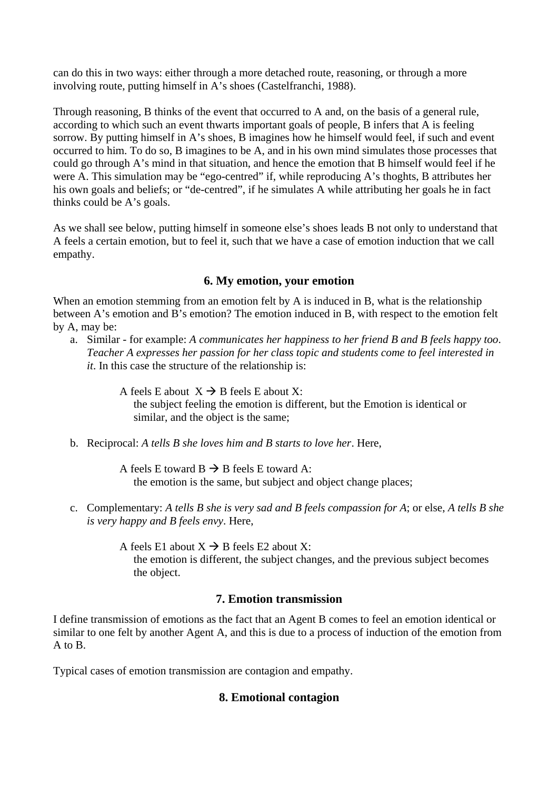can do this in two ways: either through a more detached route, reasoning, or through a more involving route, putting himself in A's shoes (Castelfranchi, 1988).

Through reasoning, B thinks of the event that occurred to A and, on the basis of a general rule, according to which such an event thwarts important goals of people, B infers that A is feeling sorrow. By putting himself in A's shoes, B imagines how he himself would feel, if such and event occurred to him. To do so, B imagines to be A, and in his own mind simulates those processes that could go through A's mind in that situation, and hence the emotion that B himself would feel if he were A. This simulation may be "ego-centred" if, while reproducing A's thoghts, B attributes her his own goals and beliefs; or "de-centred", if he simulates A while attributing her goals he in fact thinks could be A's goals.

As we shall see below, putting himself in someone else's shoes leads B not only to understand that A feels a certain emotion, but to feel it, such that we have a case of emotion induction that we call empathy.

## **6. My emotion, your emotion**

When an emotion stemming from an emotion felt by A is induced in B, what is the relationship between A's emotion and B's emotion? The emotion induced in B, with respect to the emotion felt by A, may be:

a. Similar - for example: *A communicates her happiness to her friend B and B feels happy too*. *Teacher A expresses her passion for her class topic and students come to feel interested in it*. In this case the structure of the relationship is:

> A feels E about  $X \rightarrow B$  feels E about X: the subject feeling the emotion is different, but the Emotion is identical or similar, and the object is the same;

b. Reciprocal: *A tells B she loves him and B starts to love her*. Here,

A feels E toward  $B \rightarrow B$  feels E toward A: the emotion is the same, but subject and object change places;

- c. Complementary: *A tells B she is very sad and B feels compassion for A*; or else, *A tells B she is very happy and B feels envy*. Here,
	- A feels E1 about  $X \rightarrow B$  feels E2 about X: the emotion is different, the subject changes, and the previous subject becomes the object.

## **7. Emotion transmission**

I define transmission of emotions as the fact that an Agent B comes to feel an emotion identical or similar to one felt by another Agent A, and this is due to a process of induction of the emotion from A to B.

Typical cases of emotion transmission are contagion and empathy.

# **8. Emotional contagion**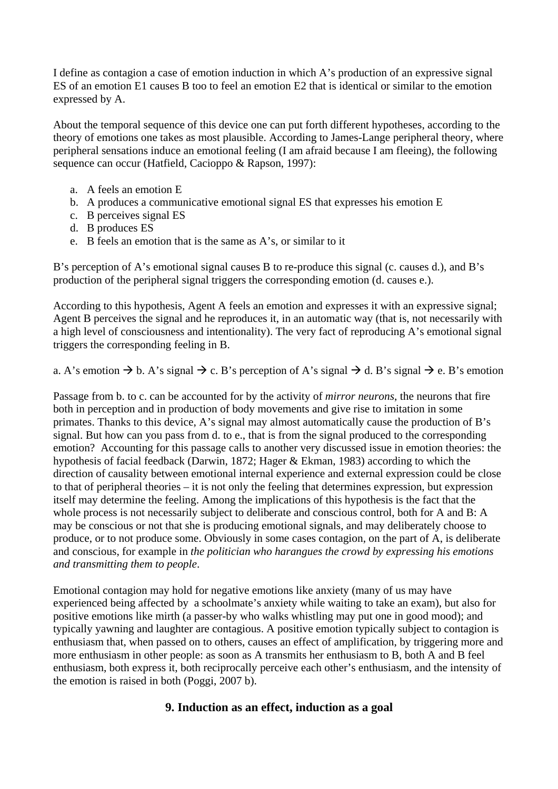I define as contagion a case of emotion induction in which A's production of an expressive signal ES of an emotion E1 causes B too to feel an emotion E2 that is identical or similar to the emotion expressed by A.

About the temporal sequence of this device one can put forth different hypotheses, according to the theory of emotions one takes as most plausible. According to James-Lange peripheral theory, where peripheral sensations induce an emotional feeling (I am afraid because I am fleeing), the following sequence can occur (Hatfield, Cacioppo & Rapson, 1997):

- a. A feels an emotion E
- b. A produces a communicative emotional signal ES that expresses his emotion E
- c. B perceives signal ES
- d. B produces ES
- e. B feels an emotion that is the same as A's, or similar to it

B's perception of A's emotional signal causes B to re-produce this signal (c. causes d.), and B's production of the peripheral signal triggers the corresponding emotion (d. causes e.).

According to this hypothesis, Agent A feels an emotion and expresses it with an expressive signal; Agent B perceives the signal and he reproduces it, in an automatic way (that is, not necessarily with a high level of consciousness and intentionality). The very fact of reproducing A's emotional signal triggers the corresponding feeling in B.

a. A's emotion  $\rightarrow$  b. A's signal  $\rightarrow$  c. B's perception of A's signal  $\rightarrow$  d. B's signal  $\rightarrow$  e. B's emotion

Passage from b. to c. can be accounted for by the activity of *mirror neurons*, the neurons that fire both in perception and in production of body movements and give rise to imitation in some primates. Thanks to this device, A's signal may almost automatically cause the production of B's signal. But how can you pass from d. to e., that is from the signal produced to the corresponding emotion? Accounting for this passage calls to another very discussed issue in emotion theories: the hypothesis of facial feedback (Darwin, 1872; Hager & Ekman, 1983) according to which the direction of causality between emotional internal experience and external expression could be close to that of peripheral theories – it is not only the feeling that determines expression, but expression itself may determine the feeling. Among the implications of this hypothesis is the fact that the whole process is not necessarily subject to deliberate and conscious control, both for A and B: A may be conscious or not that she is producing emotional signals, and may deliberately choose to produce, or to not produce some. Obviously in some cases contagion, on the part of A, is deliberate and conscious, for example in *the politician who harangues the crowd by expressing his emotions and transmitting them to people*.

Emotional contagion may hold for negative emotions like anxiety (many of us may have experienced being affected by a schoolmate's anxiety while waiting to take an exam), but also for positive emotions like mirth (a passer-by who walks whistling may put one in good mood); and typically yawning and laughter are contagious. A positive emotion typically subject to contagion is enthusiasm that, when passed on to others, causes an effect of amplification, by triggering more and more enthusiasm in other people: as soon as A transmits her enthusiasm to B, both A and B feel enthusiasm, both express it, both reciprocally perceive each other's enthusiasm, and the intensity of the emotion is raised in both (Poggi, 2007 b).

### **9. Induction as an effect, induction as a goal**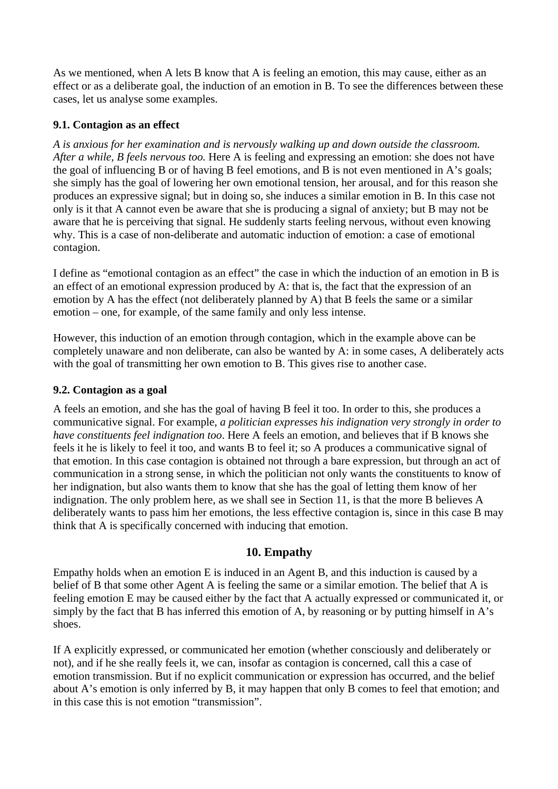As we mentioned, when A lets B know that A is feeling an emotion, this may cause, either as an effect or as a deliberate goal, the induction of an emotion in B. To see the differences between these cases, let us analyse some examples.

### **9.1. Contagion as an effect**

*A is anxious for her examination and is nervously walking up and down outside the classroom. After a while, B feels nervous too.* Here A is feeling and expressing an emotion: she does not have the goal of influencing B or of having B feel emotions, and B is not even mentioned in A's goals; she simply has the goal of lowering her own emotional tension, her arousal, and for this reason she produces an expressive signal; but in doing so, she induces a similar emotion in B. In this case not only is it that A cannot even be aware that she is producing a signal of anxiety; but B may not be aware that he is perceiving that signal. He suddenly starts feeling nervous, without even knowing why. This is a case of non-deliberate and automatic induction of emotion: a case of emotional contagion.

I define as "emotional contagion as an effect" the case in which the induction of an emotion in B is an effect of an emotional expression produced by A: that is, the fact that the expression of an emotion by A has the effect (not deliberately planned by A) that B feels the same or a similar emotion – one, for example, of the same family and only less intense.

However, this induction of an emotion through contagion, which in the example above can be completely unaware and non deliberate, can also be wanted by A: in some cases, A deliberately acts with the goal of transmitting her own emotion to B. This gives rise to another case.

#### **9.2. Contagion as a goal**

A feels an emotion, and she has the goal of having B feel it too. In order to this, she produces a communicative signal. For example, *a politician expresses his indignation very strongly in order to have constituents feel indignation too*. Here A feels an emotion, and believes that if B knows she feels it he is likely to feel it too, and wants B to feel it; so A produces a communicative signal of that emotion. In this case contagion is obtained not through a bare expression, but through an act of communication in a strong sense, in which the politician not only wants the constituents to know of her indignation, but also wants them to know that she has the goal of letting them know of her indignation. The only problem here, as we shall see in Section 11, is that the more B believes A deliberately wants to pass him her emotions, the less effective contagion is, since in this case B may think that A is specifically concerned with inducing that emotion.

### **10. Empathy**

Empathy holds when an emotion E is induced in an Agent B, and this induction is caused by a belief of B that some other Agent A is feeling the same or a similar emotion. The belief that A is feeling emotion E may be caused either by the fact that A actually expressed or communicated it, or simply by the fact that B has inferred this emotion of A, by reasoning or by putting himself in A's shoes.

If A explicitly expressed, or communicated her emotion (whether consciously and deliberately or not), and if he she really feels it, we can, insofar as contagion is concerned, call this a case of emotion transmission. But if no explicit communication or expression has occurred, and the belief about A's emotion is only inferred by B, it may happen that only B comes to feel that emotion; and in this case this is not emotion "transmission".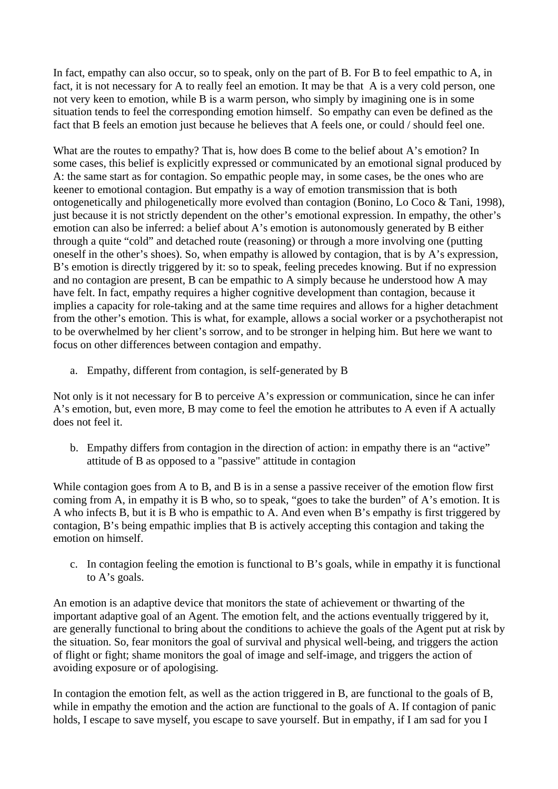In fact, empathy can also occur, so to speak, only on the part of B. For B to feel empathic to A, in fact, it is not necessary for A to really feel an emotion. It may be that A is a very cold person, one not very keen to emotion, while B is a warm person, who simply by imagining one is in some situation tends to feel the corresponding emotion himself. So empathy can even be defined as the fact that B feels an emotion just because he believes that A feels one, or could / should feel one.

What are the routes to empathy? That is, how does B come to the belief about A's emotion? In some cases, this belief is explicitly expressed or communicated by an emotional signal produced by A: the same start as for contagion. So empathic people may, in some cases, be the ones who are keener to emotional contagion. But empathy is a way of emotion transmission that is both ontogenetically and philogenetically more evolved than contagion (Bonino, Lo Coco & Tani, 1998), just because it is not strictly dependent on the other's emotional expression. In empathy, the other's emotion can also be inferred: a belief about A's emotion is autonomously generated by B either through a quite "cold" and detached route (reasoning) or through a more involving one (putting oneself in the other's shoes). So, when empathy is allowed by contagion, that is by A's expression, B's emotion is directly triggered by it: so to speak, feeling precedes knowing. But if no expression and no contagion are present, B can be empathic to A simply because he understood how A may have felt. In fact, empathy requires a higher cognitive development than contagion, because it implies a capacity for role-taking and at the same time requires and allows for a higher detachment from the other's emotion. This is what, for example, allows a social worker or a psychotherapist not to be overwhelmed by her client's sorrow, and to be stronger in helping him. But here we want to focus on other differences between contagion and empathy.

a. Empathy, different from contagion, is self-generated by B

Not only is it not necessary for B to perceive A's expression or communication, since he can infer A's emotion, but, even more, B may come to feel the emotion he attributes to A even if A actually does not feel it.

b. Empathy differs from contagion in the direction of action: in empathy there is an "active" attitude of B as opposed to a "passive" attitude in contagion

While contagion goes from A to B, and B is in a sense a passive receiver of the emotion flow first coming from A, in empathy it is B who, so to speak, "goes to take the burden" of A's emotion. It is A who infects B, but it is B who is empathic to A. And even when B's empathy is first triggered by contagion, B's being empathic implies that B is actively accepting this contagion and taking the emotion on himself.

c. In contagion feeling the emotion is functional to B's goals, while in empathy it is functional to A's goals.

An emotion is an adaptive device that monitors the state of achievement or thwarting of the important adaptive goal of an Agent. The emotion felt, and the actions eventually triggered by it, are generally functional to bring about the conditions to achieve the goals of the Agent put at risk by the situation. So, fear monitors the goal of survival and physical well-being, and triggers the action of flight or fight; shame monitors the goal of image and self-image, and triggers the action of avoiding exposure or of apologising.

In contagion the emotion felt, as well as the action triggered in B, are functional to the goals of B, while in empathy the emotion and the action are functional to the goals of A. If contagion of panic holds, I escape to save myself, you escape to save yourself. But in empathy, if I am sad for you I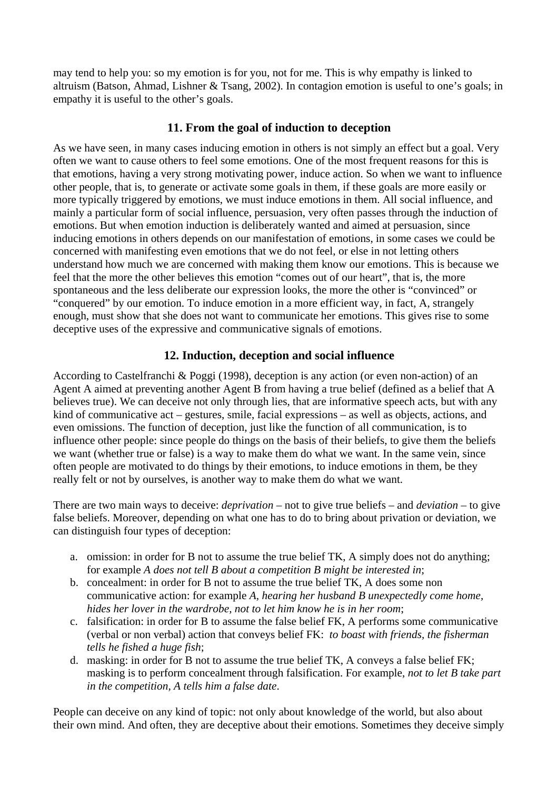may tend to help you: so my emotion is for you, not for me. This is why empathy is linked to altruism (Batson, Ahmad, Lishner & Tsang, 2002). In contagion emotion is useful to one's goals; in empathy it is useful to the other's goals.

### **11. From the goal of induction to deception**

As we have seen, in many cases inducing emotion in others is not simply an effect but a goal. Very often we want to cause others to feel some emotions. One of the most frequent reasons for this is that emotions, having a very strong motivating power, induce action. So when we want to influence other people, that is, to generate or activate some goals in them, if these goals are more easily or more typically triggered by emotions, we must induce emotions in them. All social influence, and mainly a particular form of social influence, persuasion, very often passes through the induction of emotions. But when emotion induction is deliberately wanted and aimed at persuasion, since inducing emotions in others depends on our manifestation of emotions, in some cases we could be concerned with manifesting even emotions that we do not feel, or else in not letting others understand how much we are concerned with making them know our emotions. This is because we feel that the more the other believes this emotion "comes out of our heart", that is, the more spontaneous and the less deliberate our expression looks, the more the other is "convinced" or "conquered" by our emotion. To induce emotion in a more efficient way, in fact, A, strangely enough, must show that she does not want to communicate her emotions. This gives rise to some deceptive uses of the expressive and communicative signals of emotions.

## **12. Induction, deception and social influence**

According to Castelfranchi & Poggi (1998), deception is any action (or even non-action) of an Agent A aimed at preventing another Agent B from having a true belief (defined as a belief that A believes true). We can deceive not only through lies, that are informative speech acts, but with any kind of communicative act – gestures, smile, facial expressions – as well as objects, actions, and even omissions. The function of deception, just like the function of all communication, is to influence other people: since people do things on the basis of their beliefs, to give them the beliefs we want (whether true or false) is a way to make them do what we want. In the same vein, since often people are motivated to do things by their emotions, to induce emotions in them, be they really felt or not by ourselves, is another way to make them do what we want.

There are two main ways to deceive: *deprivation* – not to give true beliefs – and *deviation* – to give false beliefs. Moreover, depending on what one has to do to bring about privation or deviation, we can distinguish four types of deception:

- a. omission: in order for B not to assume the true belief TK, A simply does not do anything; for example *A does not tell B about a competition B might be interested in*;
- b. concealment: in order for B not to assume the true belief TK, A does some non communicative action: for example *A, hearing her husband B unexpectedly come home, hides her lover in the wardrobe, not to let him know he is in her room*;
- c. falsification: in order for B to assume the false belief FK, A performs some communicative (verbal or non verbal) action that conveys belief FK: *to boast with friends, the fisherman tells he fished a huge fish*;
- d. masking: in order for B not to assume the true belief TK, A conveys a false belief FK; masking is to perform concealment through falsification. For example, *not to let B take part in the competition, A tells him a false date*.

People can deceive on any kind of topic: not only about knowledge of the world, but also about their own mind. And often, they are deceptive about their emotions. Sometimes they deceive simply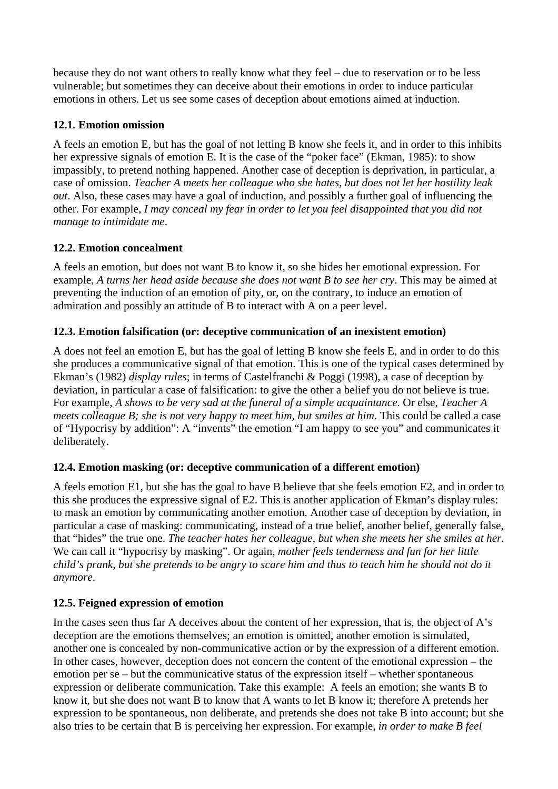because they do not want others to really know what they feel – due to reservation or to be less vulnerable; but sometimes they can deceive about their emotions in order to induce particular emotions in others. Let us see some cases of deception about emotions aimed at induction.

## **12.1. Emotion omission**

A feels an emotion E, but has the goal of not letting B know she feels it, and in order to this inhibits her expressive signals of emotion E. It is the case of the "poker face" (Ekman, 1985): to show impassibly, to pretend nothing happened. Another case of deception is deprivation, in particular, a case of omission. *Teacher A meets her colleague who she hates, but does not let her hostility leak out*. Also, these cases may have a goal of induction, and possibly a further goal of influencing the other. For example, *I may conceal my fear in order to let you feel disappointed that you did not manage to intimidate me*.

# **12.2. Emotion concealment**

A feels an emotion, but does not want B to know it, so she hides her emotional expression. For example, *A turns her head aside because she does not want B to see her cry*. This may be aimed at preventing the induction of an emotion of pity, or, on the contrary, to induce an emotion of admiration and possibly an attitude of B to interact with A on a peer level.

## **12.3. Emotion falsification (or: deceptive communication of an inexistent emotion)**

A does not feel an emotion E, but has the goal of letting B know she feels E, and in order to do this she produces a communicative signal of that emotion. This is one of the typical cases determined by Ekman's (1982) *display rules*; in terms of Castelfranchi & Poggi (1998), a case of deception by deviation, in particular a case of falsification: to give the other a belief you do not believe is true. For example, *A shows to be very sad at the funeral of a simple acquaintance*. Or else, *Teacher A meets colleague B; she is not very happy to meet him, but smiles at him*. This could be called a case of "Hypocrisy by addition": A "invents" the emotion "I am happy to see you" and communicates it deliberately.

# **12.4. Emotion masking (or: deceptive communication of a different emotion)**

A feels emotion E1, but she has the goal to have B believe that she feels emotion E2, and in order to this she produces the expressive signal of E2. This is another application of Ekman's display rules: to mask an emotion by communicating another emotion. Another case of deception by deviation, in particular a case of masking: communicating, instead of a true belief, another belief, generally false, that "hides" the true one. *The teacher hates her colleague, but when she meets her she smiles at her*. We can call it "hypocrisy by masking". Or again, *mother feels tenderness and fun for her little child's prank, but she pretends to be angry to scare him and thus to teach him he should not do it anymore*.

## **12.5. Feigned expression of emotion**

In the cases seen thus far A deceives about the content of her expression, that is, the object of A's deception are the emotions themselves; an emotion is omitted, another emotion is simulated, another one is concealed by non-communicative action or by the expression of a different emotion. In other cases, however, deception does not concern the content of the emotional expression – the emotion per se – but the communicative status of the expression itself – whether spontaneous expression or deliberate communication. Take this example: A feels an emotion; she wants B to know it, but she does not want B to know that A wants to let B know it; therefore A pretends her expression to be spontaneous, non deliberate, and pretends she does not take B into account; but she also tries to be certain that B is perceiving her expression. For example, *in order to make B feel*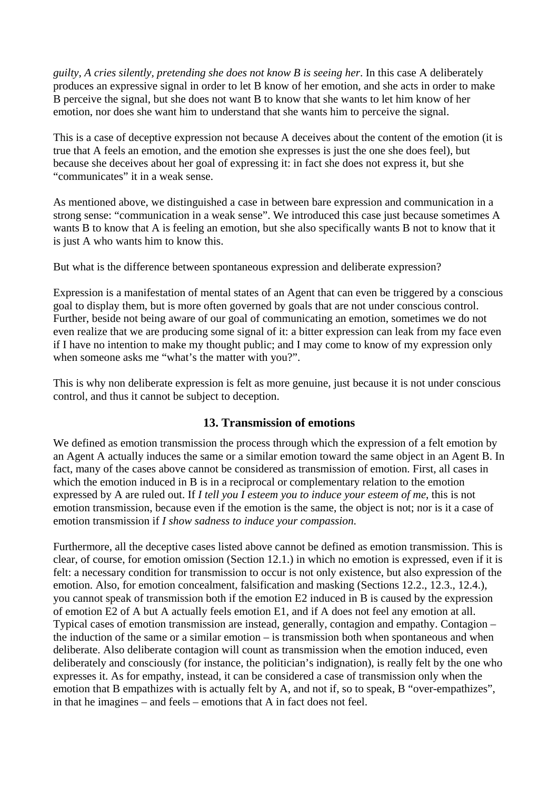*guilty, A cries silently, pretending she does not know B is seeing her*. In this case A deliberately produces an expressive signal in order to let B know of her emotion, and she acts in order to make B perceive the signal, but she does not want B to know that she wants to let him know of her emotion, nor does she want him to understand that she wants him to perceive the signal.

This is a case of deceptive expression not because A deceives about the content of the emotion (it is true that A feels an emotion, and the emotion she expresses is just the one she does feel), but because she deceives about her goal of expressing it: in fact she does not express it, but she "communicates" it in a weak sense.

As mentioned above, we distinguished a case in between bare expression and communication in a strong sense: "communication in a weak sense". We introduced this case just because sometimes A wants B to know that A is feeling an emotion, but she also specifically wants B not to know that it is just A who wants him to know this.

But what is the difference between spontaneous expression and deliberate expression?

Expression is a manifestation of mental states of an Agent that can even be triggered by a conscious goal to display them, but is more often governed by goals that are not under conscious control. Further, beside not being aware of our goal of communicating an emotion, sometimes we do not even realize that we are producing some signal of it: a bitter expression can leak from my face even if I have no intention to make my thought public; and I may come to know of my expression only when someone asks me "what's the matter with you?".

This is why non deliberate expression is felt as more genuine, just because it is not under conscious control, and thus it cannot be subject to deception.

## **13. Transmission of emotions**

We defined as emotion transmission the process through which the expression of a felt emotion by an Agent A actually induces the same or a similar emotion toward the same object in an Agent B. In fact, many of the cases above cannot be considered as transmission of emotion. First, all cases in which the emotion induced in B is in a reciprocal or complementary relation to the emotion expressed by A are ruled out. If *I tell you I esteem you to induce your esteem of me*, this is not emotion transmission, because even if the emotion is the same, the object is not; nor is it a case of emotion transmission if *I show sadness to induce your compassion*.

Furthermore, all the deceptive cases listed above cannot be defined as emotion transmission. This is clear, of course, for emotion omission (Section 12.1.) in which no emotion is expressed, even if it is felt: a necessary condition for transmission to occur is not only existence, but also expression of the emotion. Also, for emotion concealment, falsification and masking (Sections 12.2., 12.3., 12.4.), you cannot speak of transmission both if the emotion E2 induced in B is caused by the expression of emotion E2 of A but A actually feels emotion E1, and if A does not feel any emotion at all. Typical cases of emotion transmission are instead, generally, contagion and empathy. Contagion – the induction of the same or a similar emotion – is transmission both when spontaneous and when deliberate. Also deliberate contagion will count as transmission when the emotion induced, even deliberately and consciously (for instance, the politician's indignation), is really felt by the one who expresses it. As for empathy, instead, it can be considered a case of transmission only when the emotion that B empathizes with is actually felt by A, and not if, so to speak, B "over-empathizes", in that he imagines – and feels – emotions that A in fact does not feel.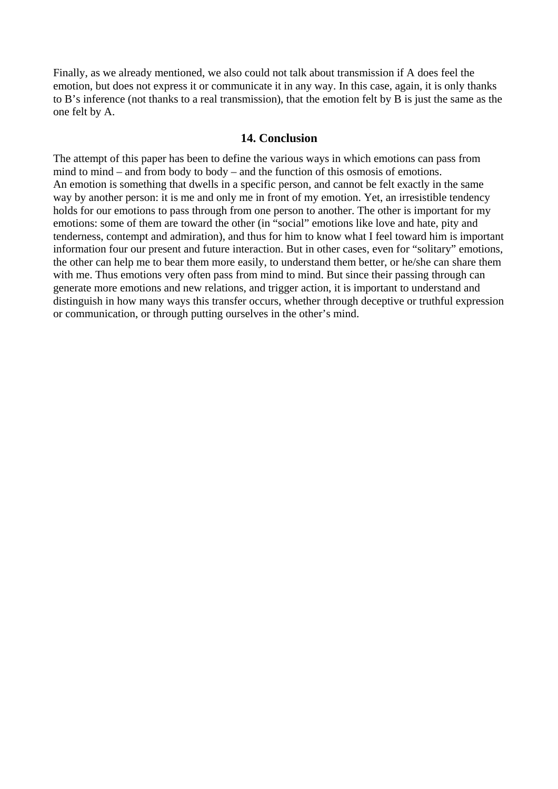Finally, as we already mentioned, we also could not talk about transmission if A does feel the emotion, but does not express it or communicate it in any way. In this case, again, it is only thanks to B's inference (not thanks to a real transmission), that the emotion felt by B is just the same as the one felt by A.

#### **14. Conclusion**

The attempt of this paper has been to define the various ways in which emotions can pass from mind to mind – and from body to body – and the function of this osmosis of emotions. An emotion is something that dwells in a specific person, and cannot be felt exactly in the same way by another person: it is me and only me in front of my emotion. Yet, an irresistible tendency holds for our emotions to pass through from one person to another. The other is important for my emotions: some of them are toward the other (in "social" emotions like love and hate, pity and tenderness, contempt and admiration), and thus for him to know what I feel toward him is important information four our present and future interaction. But in other cases, even for "solitary" emotions, the other can help me to bear them more easily, to understand them better, or he/she can share them with me. Thus emotions very often pass from mind to mind. But since their passing through can generate more emotions and new relations, and trigger action, it is important to understand and distinguish in how many ways this transfer occurs, whether through deceptive or truthful expression or communication, or through putting ourselves in the other's mind.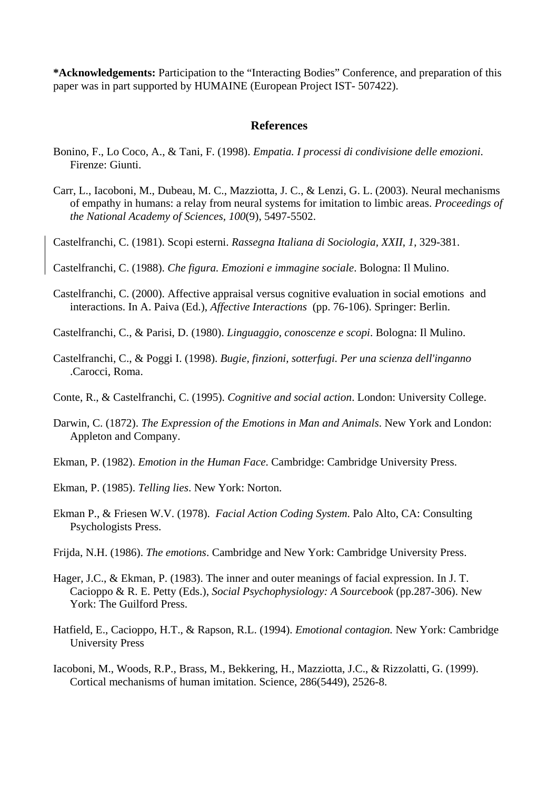**\*Acknowledgements:** Participation to the "Interacting Bodies" Conference, and preparation of this paper was in part supported by HUMAINE (European Project IST- 507422).

#### **References**

- Bonino, F., Lo Coco, A., & Tani, F. (1998). *Empatia. I processi di condivisione delle emozioni*. Firenze: Giunti.
- Carr, L., Iacoboni, M., Dubeau, M. C., Mazziotta, J. C., & Lenzi, G. L. (2003). Neural mechanisms of empathy in humans: a relay from neural systems for imitation to limbic areas. *Proceedings of the National Academy of Sciences, 100*(9), 5497-5502.
- Castelfranchi, C. (1981). Scopi esterni. *Rassegna Italiana di Sociologia, XXII*, *1*, 329-381.

Castelfranchi, C. (1988). *Che figura. Emozioni e immagine sociale*. Bologna: Il Mulino.

- Castelfranchi, C. (2000). Affective appraisal versus cognitive evaluation in social emotions and interactions. In A. Paiva (Ed.), *Affective Interactions* (pp. 76-106). Springer: Berlin.
- Castelfranchi, C., & Parisi, D. (1980). *Linguaggio, conoscenze e scopi*. Bologna: Il Mulino.
- Castelfranchi, C., & Poggi I. (1998). *Bugie, finzioni, sotterfugi. Per una scienza dell'inganno*  .Carocci, Roma.
- Conte, R., & Castelfranchi, C. (1995). *Cognitive and social action*. London: University College.
- Darwin, C. (1872). *The Expression of the Emotions in Man and Animals*. New York and London: Appleton and Company.
- Ekman, P. (1982). *Emotion in the Human Face*. Cambridge: Cambridge University Press.
- Ekman, P. (1985). *Telling lies*. New York: Norton.
- Ekman P., & Friesen W.V. (1978). *Facial Action Coding System*. Palo Alto, CA: Consulting Psychologists Press.
- Frijda, N.H. (1986). *The emotions*. Cambridge and New York: Cambridge University Press.
- Hager, J.C., & Ekman, P. (1983). The inner and outer meanings of facial expression. In J. T. Cacioppo & R. E. Petty (Eds.), *Social Psychophysiology: A Sourcebook* (pp.287-306). New York: The Guilford Press.
- Hatfield, E., Cacioppo, H.T., & Rapson, R.L. (1994). *Emotional contagion.* New York: Cambridge University Press
- Iacoboni, M., Woods, R.P., Brass, M., Bekkering, H., Mazziotta, J.C., & Rizzolatti, G. (1999). Cortical mechanisms of human imitation. Science, 286(5449), 2526-8.